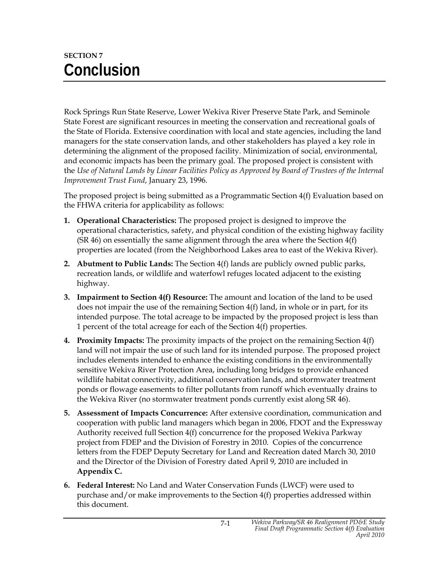## **SECTION 7 Conclusion**

Rock Springs Run State Reserve, Lower Wekiva River Preserve State Park, and Seminole State Forest are significant resources in meeting the conservation and recreational goals of the State of Florida. Extensive coordination with local and state agencies, including the land managers for the state conservation lands, and other stakeholders has played a key role in determining the alignment of the proposed facility. Minimization of social, environmental, and economic impacts has been the primary goal. The proposed project is consistent with the *Use of Natural Lands by Linear Facilities Policy as Approved by Board of Trustees of the Internal Improvement Trust Fund*, January 23, 1996.

The proposed project is being submitted as a Programmatic Section 4(f) Evaluation based on the FHWA criteria for applicability as follows:

- **1. Operational Characteristics:** The proposed project is designed to improve the operational characteristics, safety, and physical condition of the existing highway facility (SR 46) on essentially the same alignment through the area where the Section  $4(f)$ properties are located (from the Neighborhood Lakes area to east of the Wekiva River).
- **2. Abutment to Public Lands:** The Section 4(f) lands are publicly owned public parks, recreation lands, or wildlife and waterfowl refuges located adjacent to the existing highway.
- **3. Impairment to Section 4(f) Resource:** The amount and location of the land to be used does not impair the use of the remaining Section 4(f) land, in whole or in part, for its intended purpose. The total acreage to be impacted by the proposed project is less than 1 percent of the total acreage for each of the Section 4(f) properties.
- **4. Proximity Impacts:** The proximity impacts of the project on the remaining Section 4(f) land will not impair the use of such land for its intended purpose. The proposed project includes elements intended to enhance the existing conditions in the environmentally sensitive Wekiva River Protection Area, including long bridges to provide enhanced wildlife habitat connectivity, additional conservation lands, and stormwater treatment ponds or flowage easements to filter pollutants from runoff which eventually drains to the Wekiva River (no stormwater treatment ponds currently exist along SR 46).
- **5. Assessment of Impacts Concurrence:** After extensive coordination, communication and cooperation with public land managers which began in 2006, FDOT and the Expressway Authority received full Section 4(f) concurrence for the proposed Wekiva Parkway project from FDEP and the Division of Forestry in 2010. Copies of the concurrence letters from the FDEP Deputy Secretary for Land and Recreation dated March 30, 2010 and the Director of the Division of Forestry dated April 9, 2010 are included in **Appendix C.**
- **6. Federal Interest:** No Land and Water Conservation Funds (LWCF) were used to purchase and/or make improvements to the Section 4(f) properties addressed within this document.